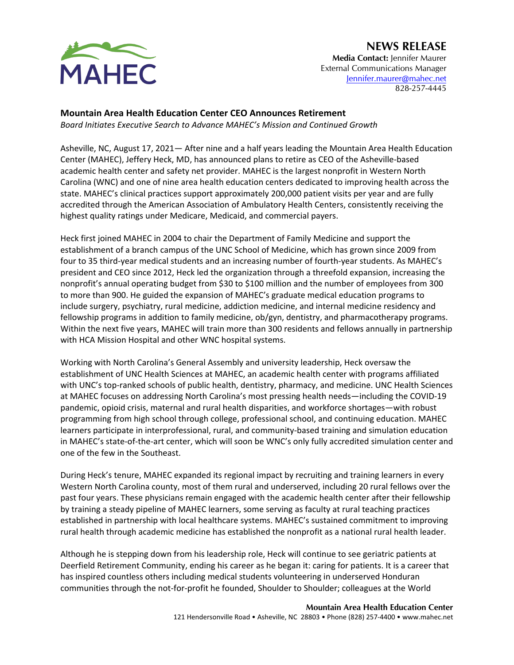## **NEWS RELEASE**



**Media Contact:** Jennifer Maurer External Communications Manager [Jennifer.maurer@mahec.net](mailto:Jennifer.maurer@mahec.net) 828-257-4445

## **Mountain Area Health Education Center CEO Announces Retirement**

*Board Initiates Executive Search to Advance MAHEC's Mission and Continued Growth*

Asheville, NC, August 17, 2021— After nine and a half years leading the Mountain Area Health Education Center (MAHEC), Jeffery Heck, MD, has announced plans to retire as CEO of the Asheville-based academic health center and safety net provider. MAHEC is the largest nonprofit in Western North Carolina (WNC) and one of nine area health education centers dedicated to improving health across the state. MAHEC's clinical practices support approximately 200,000 patient visits per year and are fully accredited through the American Association of Ambulatory Health Centers, consistently receiving the highest quality ratings under Medicare, Medicaid, and commercial payers.

Heck first joined MAHEC in 2004 to chair the Department of Family Medicine and support the establishment of a branch campus of the UNC School of Medicine, which has grown since 2009 from four to 35 third-year medical students and an increasing number of fourth-year students. As MAHEC's president and CEO since 2012, Heck led the organization through a threefold expansion, increasing the nonprofit's annual operating budget from \$30 to \$100 million and the number of employees from 300 to more than 900. He guided the expansion of MAHEC's graduate medical education programs to include surgery, psychiatry, rural medicine, addiction medicine, and internal medicine residency and fellowship programs in addition to family medicine, ob/gyn, dentistry, and pharmacotherapy programs. Within the next five years, MAHEC will train more than 300 residents and fellows annually in partnership with HCA Mission Hospital and other WNC hospital systems.

Working with North Carolina's General Assembly and university leadership, Heck oversaw the establishment of UNC Health Sciences at MAHEC, an academic health center with programs affiliated with UNC's top-ranked schools of public health, dentistry, pharmacy, and medicine. UNC Health Sciences at MAHEC focuses on addressing North Carolina's most pressing health needs—including the COVID-19 pandemic, opioid crisis, maternal and rural health disparities, and workforce shortages—with robust programming from high school through college, professional school, and continuing education. MAHEC learners participate in interprofessional, rural, and community-based training and simulation education in MAHEC's state-of-the-art center, which will soon be WNC's only fully accredited simulation center and one of the few in the Southeast.

During Heck's tenure, MAHEC expanded its regional impact by recruiting and training learners in every Western North Carolina county, most of them rural and underserved, including 20 rural fellows over the past four years. These physicians remain engaged with the academic health center after their fellowship by training a steady pipeline of MAHEC learners, some serving as faculty at rural teaching practices established in partnership with local healthcare systems. MAHEC's sustained commitment to improving rural health through academic medicine has established the nonprofit as a national rural health leader.

Although he is stepping down from his leadership role, Heck will continue to see geriatric patients at Deerfield Retirement Community, ending his career as he began it: caring for patients. It is a career that has inspired countless others including medical students volunteering in underserved Honduran communities through the not-for-profit he founded, Shoulder to Shoulder; colleagues at the World

**Mountain Area Health Education Center**